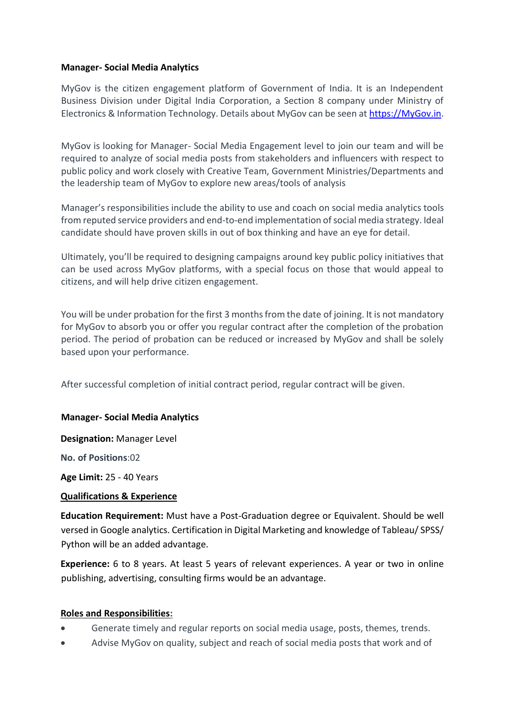## **Manager- Social Media Analytics**

MyGov is the citizen engagement platform of Government of India. It is an Independent Business Division under Digital India Corporation, a Section 8 company under Ministry of Electronics & Information Technology. Details about MyGov can be seen at [https://MyGov.in.](https://mygov.in/)

MyGov is looking for Manager- Social Media Engagement level to join our team and will be required to analyze of social media posts from stakeholders and influencers with respect to public policy and work closely with Creative Team, Government Ministries/Departments and the leadership team of MyGov to explore new areas/tools of analysis

Manager's responsibilities include the ability to use and coach on social media analytics tools from reputed service providers and end-to-end implementation of social media strategy. Ideal candidate should have proven skills in out of box thinking and have an eye for detail.

Ultimately, you'll be required to designing campaigns around key public policy initiatives that can be used across MyGov platforms, with a special focus on those that would appeal to citizens, and will help drive citizen engagement.

You will be under probation for the first 3 months from the date of joining. It is not mandatory for MyGov to absorb you or offer you regular contract after the completion of the probation period. The period of probation can be reduced or increased by MyGov and shall be solely based upon your performance.

After successful completion of initial contract period, regular contract will be given.

### **Manager- Social Media Analytics**

**Designation:** Manager Level

**No. of Positions**:02

**Age Limit:** 25 - 40 Years

### **Qualifications & Experience**

**Education Requirement:** Must have a Post-Graduation degree or Equivalent. Should be well versed in Google analytics. Certification in Digital Marketing and knowledge of Tableau/ SPSS/ Python will be an added advantage.

**Experience:** 6 to 8 years. At least 5 years of relevant experiences. A year or two in online publishing, advertising, consulting firms would be an advantage.

### **Roles and Responsibilities:**

- Generate timely and regular reports on social media usage, posts, themes, trends.
- Advise MyGov on quality, subject and reach of social media posts that work and of